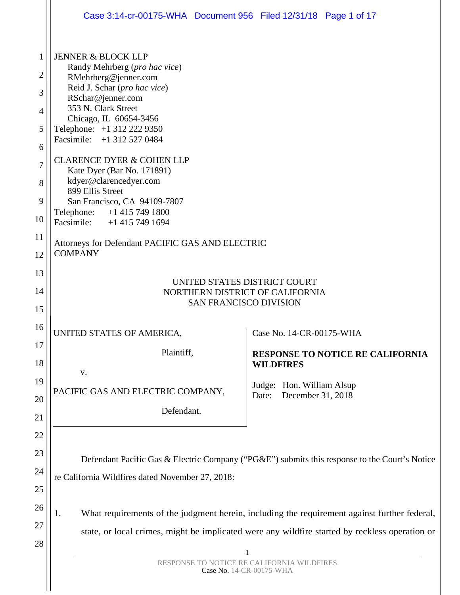|                                                                  | Case 3:14-cr-00175-WHA Document 956 Filed 12/31/18 Page 1 of 17                                                                                                                                                                                                                                                                                                                                                                                                          |  |  |  |  |  |  |
|------------------------------------------------------------------|--------------------------------------------------------------------------------------------------------------------------------------------------------------------------------------------------------------------------------------------------------------------------------------------------------------------------------------------------------------------------------------------------------------------------------------------------------------------------|--|--|--|--|--|--|
| $\mathbf{1}$<br>2<br>3<br>4<br>5<br>6<br>7<br>8<br>9<br>10<br>11 | <b>JENNER &amp; BLOCK LLP</b><br>Randy Mehrberg (pro hac vice)<br>RMehrberg@jenner.com<br>Reid J. Schar (pro hac vice)<br>RSchar@jenner.com<br>353 N. Clark Street<br>Chicago, IL 60654-3456<br>Telephone: +1 312 222 9350<br>Facsimile: +1 312 527 0484<br><b>CLARENCE DYER &amp; COHEN LLP</b><br>Kate Dyer (Bar No. 171891)<br>kdyer@clarencedyer.com<br>899 Ellis Street<br>San Francisco, CA 94109-7807<br>Telephone: +1 415 749 1800<br>Facsimile: +1 415 749 1694 |  |  |  |  |  |  |
| 12                                                               | Attorneys for Defendant PACIFIC GAS AND ELECTRIC<br><b>COMPANY</b>                                                                                                                                                                                                                                                                                                                                                                                                       |  |  |  |  |  |  |
| 13<br>14<br>15                                                   | UNITED STATES DISTRICT COURT<br>NORTHERN DISTRICT OF CALIFORNIA<br><b>SAN FRANCISCO DIVISION</b>                                                                                                                                                                                                                                                                                                                                                                         |  |  |  |  |  |  |
| 16<br>17                                                         | UNITED STATES OF AMERICA,<br>Case No. 14-CR-00175-WHA                                                                                                                                                                                                                                                                                                                                                                                                                    |  |  |  |  |  |  |
| 18                                                               | Plaintiff,<br><b>RESPONSE TO NOTICE RE CALIFORNIA</b><br><b>WILDFIRES</b><br>V.                                                                                                                                                                                                                                                                                                                                                                                          |  |  |  |  |  |  |
| 19<br>20<br>21                                                   | Judge: Hon. William Alsup<br>PACIFIC GAS AND ELECTRIC COMPANY,<br>December 31, 2018<br>Date:<br>Defendant.                                                                                                                                                                                                                                                                                                                                                               |  |  |  |  |  |  |
| 22<br>23<br>24<br>25                                             | Defendant Pacific Gas & Electric Company ("PG&E") submits this response to the Court's Notice<br>re California Wildfires dated November 27, 2018:                                                                                                                                                                                                                                                                                                                        |  |  |  |  |  |  |
| 26<br>27<br>28                                                   | What requirements of the judgment herein, including the requirement against further federal,<br>1.<br>state, or local crimes, might be implicated were any wildfire started by reckless operation or<br>1<br>RESPONSE TO NOTICE RE CALIFORNIA WILDFIRES<br>Case No. 14-CR-00175-WHA                                                                                                                                                                                      |  |  |  |  |  |  |
|                                                                  |                                                                                                                                                                                                                                                                                                                                                                                                                                                                          |  |  |  |  |  |  |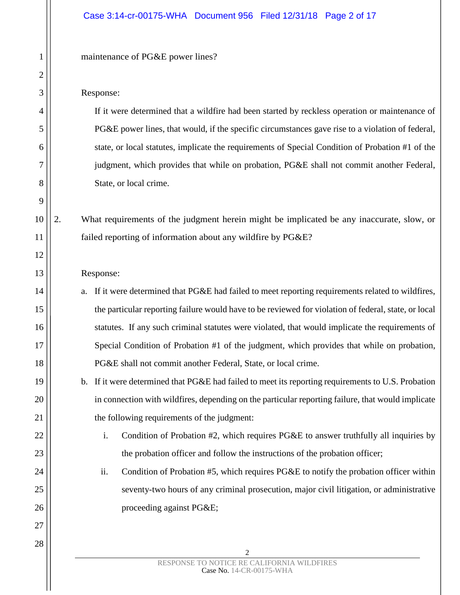### Case 3:14-cr-00175-WHA Document 956 Filed 12/31/18 Page 2 of 17

maintenance of PG&E power lines?

#### Response:

If it were determined that a wildfire had been started by reckless operation or maintenance of PG&E power lines, that would, if the specific circumstances gave rise to a violation of federal, state, or local statutes, implicate the requirements of Special Condition of Probation #1 of the judgment, which provides that while on probation, PG&E shall not commit another Federal, State, or local crime.

2. What requirements of the judgment herein might be implicated be any inaccurate, slow, or failed reporting of information about any wildfire by PG&E?

#### Response:

- a. If it were determined that PG&E had failed to meet reporting requirements related to wildfires, the particular reporting failure would have to be reviewed for violation of federal, state, or local statutes. If any such criminal statutes were violated, that would implicate the requirements of Special Condition of Probation #1 of the judgment, which provides that while on probation, PG&E shall not commit another Federal, State, or local crime.
- b. If it were determined that PG&E had failed to meet its reporting requirements to U.S. Probation in connection with wildfires, depending on the particular reporting failure, that would implicate the following requirements of the judgment:
	- i. Condition of Probation #2, which requires PG&E to answer truthfully all inquiries by the probation officer and follow the instructions of the probation officer;
	- ii. Condition of Probation #5, which requires PG&E to notify the probation officer within seventy-two hours of any criminal prosecution, major civil litigation, or administrative proceeding against PG&E;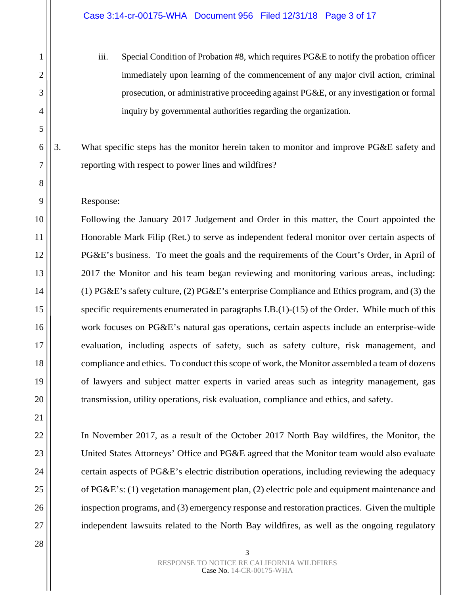iii. Special Condition of Probation #8, which requires PG&E to notify the probation officer immediately upon learning of the commencement of any major civil action, criminal prosecution, or administrative proceeding against PG&E, or any investigation or formal inquiry by governmental authorities regarding the organization.

3. What specific steps has the monitor herein taken to monitor and improve PG&E safety and reporting with respect to power lines and wildfires?

### Response:

Following the January 2017 Judgement and Order in this matter, the Court appointed the Honorable Mark Filip (Ret.) to serve as independent federal monitor over certain aspects of PG&E's business. To meet the goals and the requirements of the Court's Order, in April of 2017 the Monitor and his team began reviewing and monitoring various areas, including: (1) PG&E's safety culture, (2) PG&E's enterprise Compliance and Ethics program, and (3) the specific requirements enumerated in paragraphs I.B.(1)-(15) of the Order. While much of this work focuses on PG&E's natural gas operations, certain aspects include an enterprise-wide evaluation, including aspects of safety, such as safety culture, risk management, and compliance and ethics. To conduct this scope of work, the Monitor assembled a team of dozens of lawyers and subject matter experts in varied areas such as integrity management, gas transmission, utility operations, risk evaluation, compliance and ethics, and safety.

In November 2017, as a result of the October 2017 North Bay wildfires, the Monitor, the United States Attorneys' Office and PG&E agreed that the Monitor team would also evaluate certain aspects of PG&E's electric distribution operations, including reviewing the adequacy of PG&E's: (1) vegetation management plan, (2) electric pole and equipment maintenance and inspection programs, and (3) emergency response and restoration practices. Given the multiple independent lawsuits related to the North Bay wildfires, as well as the ongoing regulatory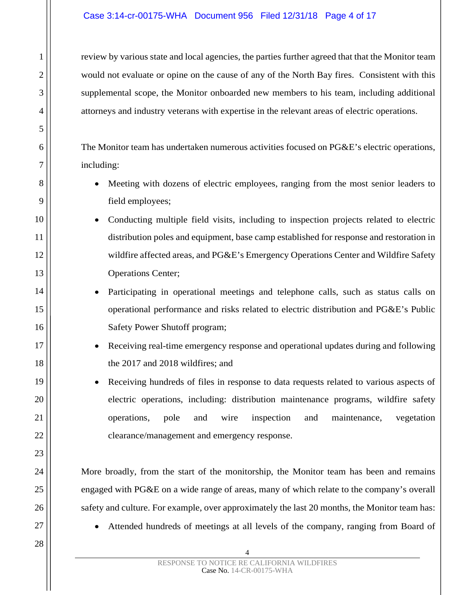# Case 3:14-cr-00175-WHA Document 956 Filed 12/31/18 Page 4 of 17

review by various state and local agencies, the parties further agreed that that the Monitor team would not evaluate or opine on the cause of any of the North Bay fires. Consistent with this supplemental scope, the Monitor onboarded new members to his team, including additional attorneys and industry veterans with expertise in the relevant areas of electric operations.

The Monitor team has undertaken numerous activities focused on PG&E's electric operations, including:

- Meeting with dozens of electric employees, ranging from the most senior leaders to field employees;
- Conducting multiple field visits, including to inspection projects related to electric distribution poles and equipment, base camp established for response and restoration in wildfire affected areas, and PG&E's Emergency Operations Center and Wildfire Safety Operations Center;
	- Participating in operational meetings and telephone calls, such as status calls on operational performance and risks related to electric distribution and PG&E's Public Safety Power Shutoff program;
	- Receiving real-time emergency response and operational updates during and following the 2017 and 2018 wildfires; and
	- Receiving hundreds of files in response to data requests related to various aspects of electric operations, including: distribution maintenance programs, wildfire safety operations, pole and wire inspection and maintenance, vegetation clearance/management and emergency response.

More broadly, from the start of the monitorship, the Monitor team has been and remains engaged with PG&E on a wide range of areas, many of which relate to the company's overall safety and culture. For example, over approximately the last 20 months, the Monitor team has:

• Attended hundreds of meetings at all levels of the company, ranging from Board of

1

2

3

4

5

6

7

8

9

10

11

12

13

14

15

16

17

18

19

20

21

22

23

24

25

26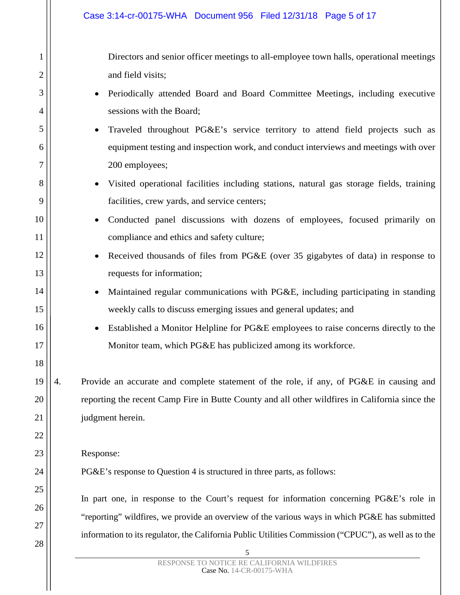Directors and senior officer meetings to all-employee town halls, operational meetings and field visits;

- Periodically attended Board and Board Committee Meetings, including executive sessions with the Board;
- Traveled throughout PG&E's service territory to attend field projects such as equipment testing and inspection work, and conduct interviews and meetings with over 200 employees;
- Visited operational facilities including stations, natural gas storage fields, training facilities, crew yards, and service centers;
- Conducted panel discussions with dozens of employees, focused primarily on compliance and ethics and safety culture;
	- Received thousands of files from PG&E (over 35 gigabytes of data) in response to requests for information;
		- Maintained regular communications with PG&E, including participating in standing weekly calls to discuss emerging issues and general updates; and
		- Established a Monitor Helpline for PG&E employees to raise concerns directly to the Monitor team, which PG&E has publicized among its workforce.
- 19 20 21 4. Provide an accurate and complete statement of the role, if any, of PG&E in causing and reporting the recent Camp Fire in Butte County and all other wildfires in California since the judgment herein.
	- Response:

1

2

3

4

5

6

7

8

9

10

11

12

13

14

15

16

17

18

22

23

24

25

26

27

28

PG&E's response to Question 4 is structured in three parts, as follows:

In part one, in response to the Court's request for information concerning PG&E's role in "reporting" wildfires, we provide an overview of the various ways in which PG&E has submitted information to its regulator, the California Public Utilities Commission ("CPUC"), as well as to the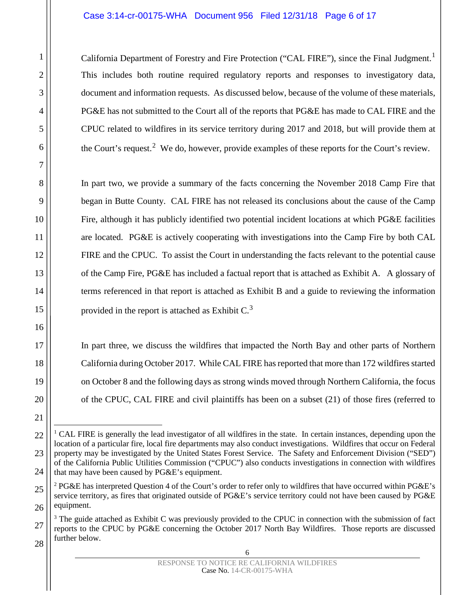## Case 3:14-cr-00175-WHA Document 956 Filed 12/31/18 Page 6 of 17

California Department of Forestry and Fire Protection ("CAL FIRE"), since the Final Judgment.<sup>[1](#page-5-0)</sup> This includes both routine required regulatory reports and responses to investigatory data, document and information requests. As discussed below, because of the volume of these materials, PG&E has not submitted to the Court all of the reports that PG&E has made to CAL FIRE and the CPUC related to wildfires in its service territory during 2017 and 2018, but will provide them at the Court's request.<sup>[2](#page-5-1)</sup> We do, however, provide examples of these reports for the Court's review.

In part two, we provide a summary of the facts concerning the November 2018 Camp Fire that began in Butte County. CAL FIRE has not released its conclusions about the cause of the Camp Fire, although it has publicly identified two potential incident locations at which PG&E facilities are located. PG&E is actively cooperating with investigations into the Camp Fire by both CAL FIRE and the CPUC. To assist the Court in understanding the facts relevant to the potential cause of the Camp Fire, PG&E has included a factual report that is attached as Exhibit A. A glossary of terms referenced in that report is attached as Exhibit B and a guide to reviewing the information provided in the report is attached as Exhibit  $C<sup>3</sup>$  $C<sup>3</sup>$  $C<sup>3</sup>$ 

In part three*,* we discuss the wildfires that impacted the North Bay and other parts of Northern California during October 2017. While CAL FIRE has reported that more than 172 wildfires started on October 8 and the following days as strong winds moved through Northern California, the focus of the CPUC, CAL FIRE and civil plaintiffs has been on a subset (21) of those fires (referred to

<span id="page-5-0"></span><sup>&</sup>lt;sup>1</sup> CAL FIRE is generally the lead investigator of all wildfires in the state. In certain instances, depending upon the location of a particular fire, local fire departments may also conduct investigations. Wildfires that occur on Federal property may be investigated by the United States Forest Service. The Safety and Enforcement Division ("SED") of the California Public Utilities Commission ("CPUC") also conducts investigations in connection with wildfires that may have been caused by PG&E's equipment.

<span id="page-5-1"></span><sup>&</sup>lt;sup>2</sup> PG&E has interpreted Question 4 of the Court's order to refer only to wildfires that have occurred within PG&E's service territory, as fires that originated outside of PG&E's service territory could not have been caused by PG&E equipment.

<span id="page-5-2"></span><sup>&</sup>lt;sup>3</sup> The guide attached as Exhibit C was previously provided to the CPUC in connection with the submission of fact reports to the CPUC by PG&E concerning the October 2017 North Bay Wildfires. Those reports are discussed further below.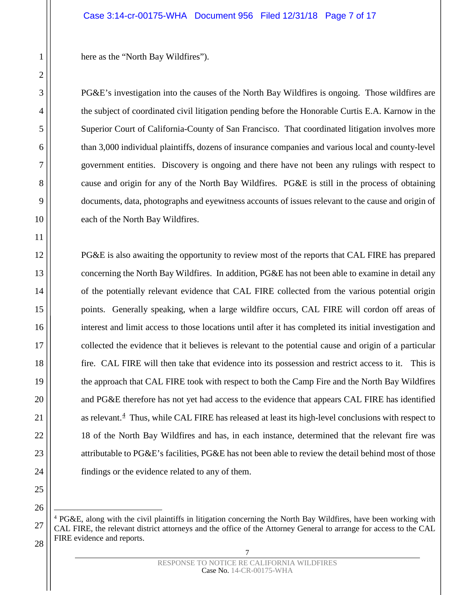here as the "North Bay Wildfires").

PG&E's investigation into the causes of the North Bay Wildfires is ongoing. Those wildfires are the subject of coordinated civil litigation pending before the Honorable Curtis E.A. Karnow in the Superior Court of California-County of San Francisco. That coordinated litigation involves more than 3,000 individual plaintiffs, dozens of insurance companies and various local and county-level government entities. Discovery is ongoing and there have not been any rulings with respect to cause and origin for any of the North Bay Wildfires. PG&E is still in the process of obtaining documents, data, photographs and eyewitness accounts of issues relevant to the cause and origin of each of the North Bay Wildfires.

PG&E is also awaiting the opportunity to review most of the reports that CAL FIRE has prepared concerning the North Bay Wildfires. In addition, PG&E has not been able to examine in detail any of the potentially relevant evidence that CAL FIRE collected from the various potential origin points. Generally speaking, when a large wildfire occurs, CAL FIRE will cordon off areas of interest and limit access to those locations until after it has completed its initial investigation and collected the evidence that it believes is relevant to the potential cause and origin of a particular fire. CAL FIRE will then take that evidence into its possession and restrict access to it. This is the approach that CAL FIRE took with respect to both the Camp Fire and the North Bay Wildfires and PG&E therefore has not yet had access to the evidence that appears CAL FIRE has identified as relevant.<sup>[4](#page-6-0)</sup> Thus, while CAL FIRE has released at least its high-level conclusions with respect to 18 of the North Bay Wildfires and has, in each instance, determined that the relevant fire was attributable to PG&E's facilities, PG&E has not been able to review the detail behind most of those findings or the evidence related to any of them.

7 RESPONSE TO NOTICE RE CALIFORNIA WILDFIRES Case No. 14-CR-00175-WHA

<span id="page-6-0"></span> <sup>4</sup> PG&E, along with the civil plaintiffs in litigation concerning the North Bay Wildfires, have been working with CAL FIRE, the relevant district attorneys and the office of the Attorney General to arrange for access to the CAL FIRE evidence and reports.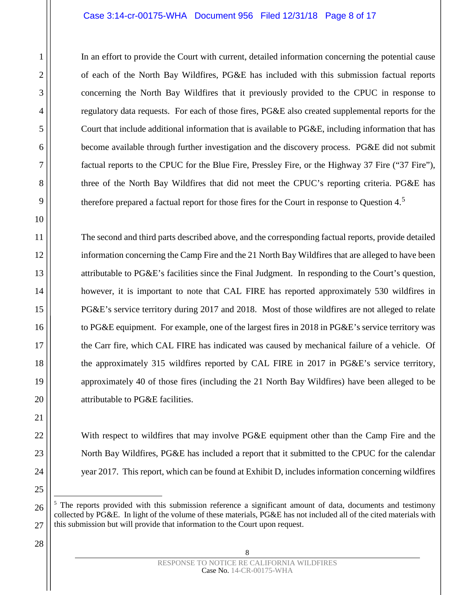### Case 3:14-cr-00175-WHA Document 956 Filed 12/31/18 Page 8 of 17

In an effort to provide the Court with current, detailed information concerning the potential cause of each of the North Bay Wildfires, PG&E has included with this submission factual reports concerning the North Bay Wildfires that it previously provided to the CPUC in response to regulatory data requests. For each of those fires, PG&E also created supplemental reports for the Court that include additional information that is available to PG&E, including information that has become available through further investigation and the discovery process. PG&E did not submit factual reports to the CPUC for the Blue Fire, Pressley Fire, or the Highway 37 Fire ("37 Fire"), three of the North Bay Wildfires that did not meet the CPUC's reporting criteria. PG&E has therefore prepared a factual report for those fires for the Court in response to Question  $4.5$  $4.5$ 

The second and third parts described above, and the corresponding factual reports, provide detailed information concerning the Camp Fire and the 21 North Bay Wildfires that are alleged to have been attributable to PG&E's facilities since the Final Judgment. In responding to the Court's question, however, it is important to note that CAL FIRE has reported approximately 530 wildfires in PG&E's service territory during 2017 and 2018. Most of those wildfires are not alleged to relate to PG&E equipment. For example, one of the largest fires in 2018 in PG&E's service territory was the Carr fire, which CAL FIRE has indicated was caused by mechanical failure of a vehicle. Of the approximately 315 wildfires reported by CAL FIRE in 2017 in PG&E's service territory, approximately 40 of those fires (including the 21 North Bay Wildfires) have been alleged to be attributable to PG&E facilities.

With respect to wildfires that may involve PG&E equipment other than the Camp Fire and the North Bay Wildfires, PG&E has included a report that it submitted to the CPUC for the calendar year 2017. This report, which can be found at Exhibit D, includes information concerning wildfires

1

2

3

4

5

6

7

8

9

10

11

12

13

14

15

16

17

18

19

20

21

22

23

24

25

<span id="page-7-0"></span>26

 $<sup>5</sup>$  The reports provided with this submission reference a significant amount of data, documents and testimony</sup> collected by PG&E. In light of the volume of these materials, PG&E has not included all of the cited materials with this submission but will provide that information to the Court upon request.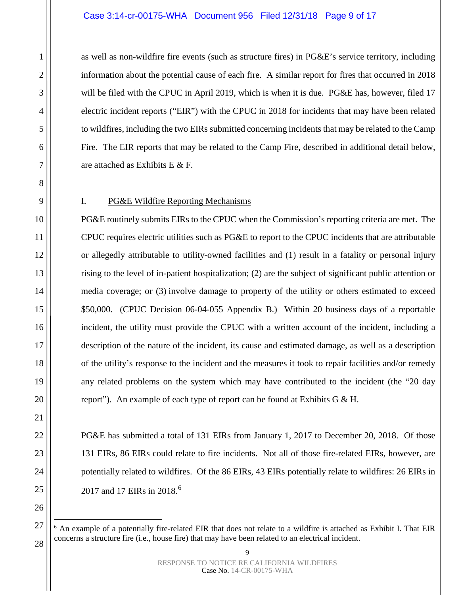### Case 3:14-cr-00175-WHA Document 956 Filed 12/31/18 Page 9 of 17

as well as non-wildfire fire events (such as structure fires) in PG&E's service territory, including information about the potential cause of each fire. A similar report for fires that occurred in 2018 will be filed with the CPUC in April 2019, which is when it is due. PG&E has, however, filed 17 electric incident reports ("EIR") with the CPUC in 2018 for incidents that may have been related to wildfires, including the two EIRs submitted concerning incidents that may be related to the Camp Fire. The EIR reports that may be related to the Camp Fire, described in additional detail below, are attached as Exhibits E & F.

1

2

3

4

5

6

7

8

9

10

11

12

13

14

15

16

17

18

19

20

21

22

23

24

25

26

<span id="page-8-0"></span>27

# I. PG&E Wildfire Reporting Mechanisms

PG&E routinely submits EIRs to the CPUC when the Commission's reporting criteria are met. The CPUC requires electric utilities such as PG&E to report to the CPUC incidents that are attributable or allegedly attributable to utility-owned facilities and (1) result in a fatality or personal injury rising to the level of in-patient hospitalization; (2) are the subject of significant public attention or media coverage; or (3) involve damage to property of the utility or others estimated to exceed \$50,000. (CPUC Decision 06-04-055 Appendix B.) Within 20 business days of a reportable incident, the utility must provide the CPUC with a written account of the incident, including a description of the nature of the incident, its cause and estimated damage, as well as a description of the utility's response to the incident and the measures it took to repair facilities and/or remedy any related problems on the system which may have contributed to the incident (the "20 day report"). An example of each type of report can be found at Exhibits G & H.

PG&E has submitted a total of 131 EIRs from January 1, 2017 to December 20, 2018. Of those 131 EIRs, 86 EIRs could relate to fire incidents. Not all of those fire-related EIRs, however, are potentially related to wildfires. Of the 86 EIRs, 43 EIRs potentially relate to wildfires: 26 EIRs in 2017 and 17 EIRs in 2018.<sup>[6](#page-8-0)</sup>

<sup>&</sup>lt;sup>6</sup> An example of a potentially fire-related EIR that does not relate to a wildfire is attached as Exhibit I. That EIR concerns a structure fire (i.e., house fire) that may have been related to an electrical incident.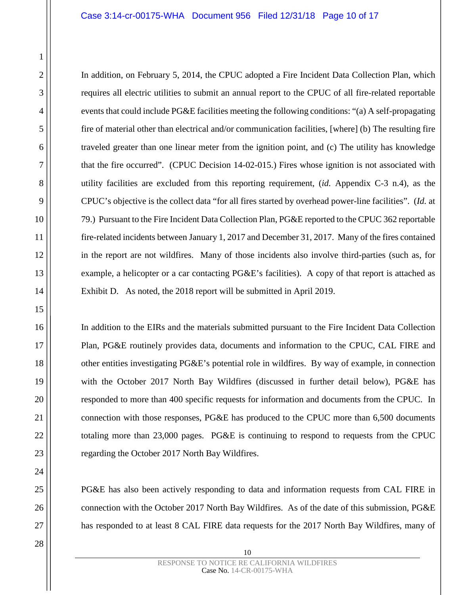In addition, on February 5, 2014, the CPUC adopted a Fire Incident Data Collection Plan, which requires all electric utilities to submit an annual report to the CPUC of all fire-related reportable events that could include PG&E facilities meeting the following conditions: "(a) A self-propagating fire of material other than electrical and/or communication facilities, [where] (b) The resulting fire traveled greater than one linear meter from the ignition point, and (c) The utility has knowledge that the fire occurred". (CPUC Decision 14-02-015.) Fires whose ignition is not associated with utility facilities are excluded from this reporting requirement, (*id.* Appendix C-3 n.4), as the CPUC's objective is the collect data "for all fires started by overhead power-line facilities". (*Id.* at 79.) Pursuant to the Fire Incident Data Collection Plan, PG&E reported to the CPUC 362 reportable fire-related incidents between January 1, 2017 and December 31, 2017. Many of the fires contained in the report are not wildfires. Many of those incidents also involve third-parties (such as, for example, a helicopter or a car contacting PG&E's facilities). A copy of that report is attached as Exhibit D. As noted, the 2018 report will be submitted in April 2019.

In addition to the EIRs and the materials submitted pursuant to the Fire Incident Data Collection Plan, PG&E routinely provides data, documents and information to the CPUC, CAL FIRE and other entities investigating PG&E's potential role in wildfires. By way of example, in connection with the October 2017 North Bay Wildfires (discussed in further detail below), PG&E has responded to more than 400 specific requests for information and documents from the CPUC. In connection with those responses, PG&E has produced to the CPUC more than 6,500 documents totaling more than 23,000 pages. PG&E is continuing to respond to requests from the CPUC regarding the October 2017 North Bay Wildfires.

PG&E has also been actively responding to data and information requests from CAL FIRE in connection with the October 2017 North Bay Wildfires. As of the date of this submission, PG&E has responded to at least 8 CAL FIRE data requests for the 2017 North Bay Wildfires, many of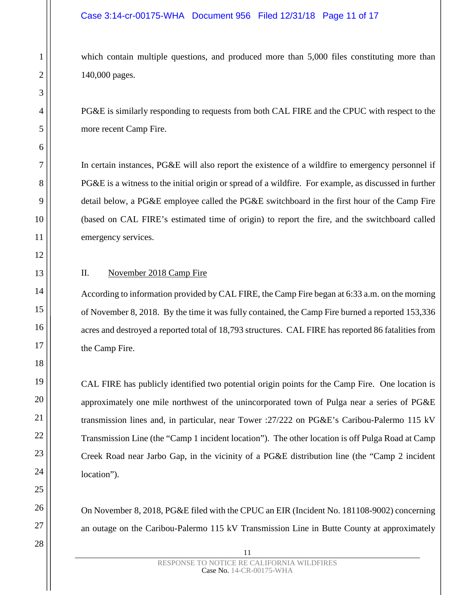which contain multiple questions, and produced more than 5,000 files constituting more than 140,000 pages.

PG&E is similarly responding to requests from both CAL FIRE and the CPUC with respect to the more recent Camp Fire.

In certain instances, PG&E will also report the existence of a wildfire to emergency personnel if PG&E is a witness to the initial origin or spread of a wildfire. For example, as discussed in further detail below, a PG&E employee called the PG&E switchboard in the first hour of the Camp Fire (based on CAL FIRE's estimated time of origin) to report the fire, and the switchboard called emergency services.

# II. November 2018 Camp Fire

According to information provided by CAL FIRE, the Camp Fire began at 6:33 a.m. on the morning of November 8, 2018. By the time it was fully contained, the Camp Fire burned a reported 153,336 acres and destroyed a reported total of 18,793 structures. CAL FIRE has reported 86 fatalities from the Camp Fire.

CAL FIRE has publicly identified two potential origin points for the Camp Fire. One location is approximately one mile northwest of the unincorporated town of Pulga near a series of PG&E transmission lines and, in particular, near Tower :27/222 on PG&E's Caribou-Palermo 115 kV Transmission Line (the "Camp 1 incident location"). The other location is off Pulga Road at Camp Creek Road near Jarbo Gap, in the vicinity of a PG&E distribution line (the "Camp 2 incident location").

On November 8, 2018, PG&E filed with the CPUC an EIR (Incident No. 181108-9002) concerning an outage on the Caribou-Palermo 115 kV Transmission Line in Butte County at approximately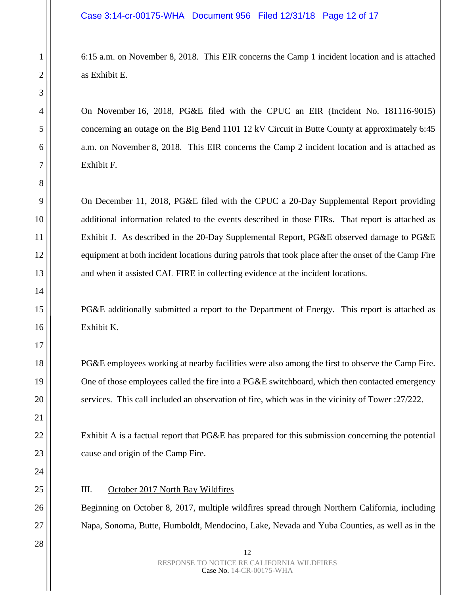6:15 a.m. on November 8, 2018. This EIR concerns the Camp 1 incident location and is attached as Exhibit E.

On November 16, 2018, PG&E filed with the CPUC an EIR (Incident No. 181116-9015) concerning an outage on the Big Bend 1101 12 kV Circuit in Butte County at approximately 6:45 a.m. on November 8, 2018. This EIR concerns the Camp 2 incident location and is attached as Exhibit F.

On December 11, 2018, PG&E filed with the CPUC a 20-Day Supplemental Report providing additional information related to the events described in those EIRs. That report is attached as Exhibit J. As described in the 20-Day Supplemental Report, PG&E observed damage to PG&E equipment at both incident locations during patrols that took place after the onset of the Camp Fire and when it assisted CAL FIRE in collecting evidence at the incident locations.

PG&E additionally submitted a report to the Department of Energy. This report is attached as Exhibit K.

PG&E employees working at nearby facilities were also among the first to observe the Camp Fire. One of those employees called the fire into a PG&E switchboard, which then contacted emergency services. This call included an observation of fire, which was in the vicinity of Tower :27/222.

Exhibit A is a factual report that PG&E has prepared for this submission concerning the potential cause and origin of the Camp Fire.

### III. October 2017 North Bay Wildfires

Beginning on October 8, 2017, multiple wildfires spread through Northern California, including Napa, Sonoma, Butte, Humboldt, Mendocino, Lake, Nevada and Yuba Counties, as well as in the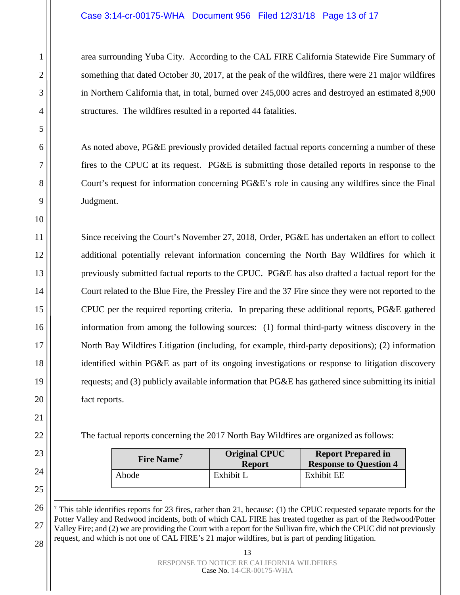## Case 3:14-cr-00175-WHA Document 956 Filed 12/31/18 Page 13 of 17

area surrounding Yuba City. According to the CAL FIRE California Statewide Fire Summary of something that dated October 30, 2017, at the peak of the wildfires, there were 21 major wildfires in Northern California that, in total, burned over 245,000 acres and destroyed an estimated 8,900 structures. The wildfires resulted in a reported 44 fatalities.

As noted above, PG&E previously provided detailed factual reports concerning a number of these fires to the CPUC at its request. PG&E is submitting those detailed reports in response to the Court's request for information concerning PG&E's role in causing any wildfires since the Final Judgment.

Since receiving the Court's November 27, 2018, Order, PG&E has undertaken an effort to collect additional potentially relevant information concerning the North Bay Wildfires for which it previously submitted factual reports to the CPUC. PG&E has also drafted a factual report for the Court related to the Blue Fire, the Pressley Fire and the 37 Fire since they were not reported to the CPUC per the required reporting criteria. In preparing these additional reports, PG&E gathered information from among the following sources: (1) formal third-party witness discovery in the North Bay Wildfires Litigation (including, for example, third-party depositions); (2) information identified within PG&E as part of its ongoing investigations or response to litigation discovery requests; and (3) publicly available information that PG&E has gathered since submitting its initial fact reports.

The factual reports concerning the 2017 North Bay Wildfires are organized as follows:

| Fire Name <sup>'</sup> | <b>Original CPUC</b><br><b>Report</b> | <b>Report Prepared in</b><br><b>Response to Question 4</b> |  |
|------------------------|---------------------------------------|------------------------------------------------------------|--|
| Abode                  | Exhibit L                             | <b>Exhibit EE</b>                                          |  |

<span id="page-12-0"></span><sup>&</sup>lt;sup>7</sup> This table identifies reports for 23 fires, rather than 21, because: (1) the CPUC requested separate reports for the Potter Valley and Redwood incidents, both of which CAL FIRE has treated together as part of the Redwood/Potter Valley Fire; and (2) we are providing the Court with a report for the Sullivan fire, which the CPUC did not previously request, and which is not one of CAL FIRE's 21 major wildfires, but is part of pending litigation.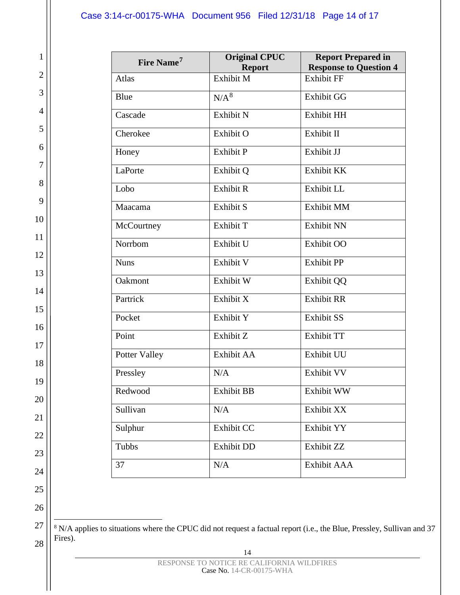1

2

3

4

5

6

7

8

9

10

11

12

13

14

15

16

17

18

19

20

21

22

23

24

25

26

27

| Fire Name <sup>7</sup> | <b>Original CPUC</b><br><b>Report</b> | <b>Report Prepared in</b><br><b>Response to Question 4</b> |
|------------------------|---------------------------------------|------------------------------------------------------------|
| Atlas                  | Exhibit M                             | <b>Exhibit FF</b>                                          |
| Blue                   | $N/A^8$                               | <b>Exhibit GG</b>                                          |
| Cascade                | Exhibit N                             | Exhibit HH                                                 |
| Cherokee               | Exhibit O                             | Exhibit II                                                 |
| Honey                  | <b>Exhibit P</b>                      | Exhibit JJ                                                 |
| LaPorte                | Exhibit Q                             | Exhibit KK                                                 |
| Lobo                   | Exhibit R                             | Exhibit LL                                                 |
| Maacama                | Exhibit S                             | <b>Exhibit MM</b>                                          |
| McCourtney             | Exhibit T                             | <b>Exhibit NN</b>                                          |
| Norrbom                | Exhibit U                             | Exhibit OO                                                 |
| <b>Nuns</b>            | Exhibit V                             | <b>Exhibit PP</b>                                          |
| Oakmont                | Exhibit W                             | <b>Exhibit QQ</b>                                          |
| Partrick               | Exhibit X                             | <b>Exhibit RR</b>                                          |
| Pocket                 | Exhibit Y                             | <b>Exhibit SS</b>                                          |
| Point                  | Exhibit Z                             | <b>Exhibit TT</b>                                          |
| <b>Potter Valley</b>   | Exhibit AA                            | Exhibit UU                                                 |
| Pressley               | N/A                                   | Exhibit VV                                                 |
| Redwood                | <b>Exhibit BB</b>                     | Exhibit WW                                                 |
| Sullivan               | N/A                                   | Exhibit XX                                                 |
| Sulphur                | Exhibit CC                            | Exhibit YY                                                 |
| Tubbs                  | <b>Exhibit DD</b>                     | Exhibit ZZ                                                 |
| 37                     | N/A                                   | Exhibit AAA                                                |

<span id="page-13-0"></span>28 <sup>8</sup> N/A applies to situations where the CPUC did not request a factual report (i.e., the Blue, Pressley, Sullivan and 37 Fires).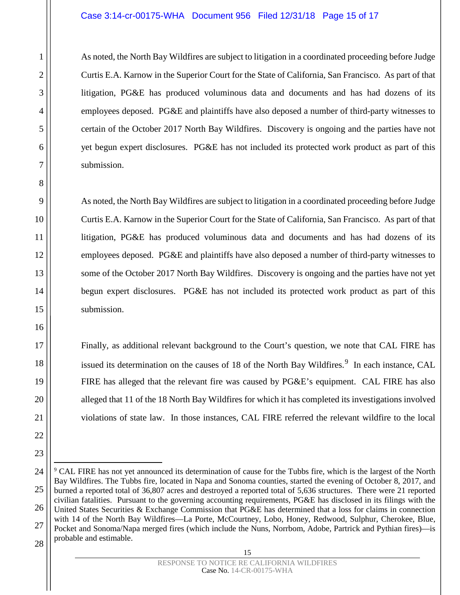### Case 3:14-cr-00175-WHA Document 956 Filed 12/31/18 Page 15 of 17

As noted, the North Bay Wildfires are subject to litigation in a coordinated proceeding before Judge Curtis E.A. Karnow in the Superior Court for the State of California, San Francisco. As part of that litigation, PG&E has produced voluminous data and documents and has had dozens of its employees deposed. PG&E and plaintiffs have also deposed a number of third-party witnesses to certain of the October 2017 North Bay Wildfires. Discovery is ongoing and the parties have not yet begun expert disclosures. PG&E has not included its protected work product as part of this submission.

As noted, the North Bay Wildfires are subject to litigation in a coordinated proceeding before Judge Curtis E.A. Karnow in the Superior Court for the State of California, San Francisco. As part of that litigation, PG&E has produced voluminous data and documents and has had dozens of its employees deposed. PG&E and plaintiffs have also deposed a number of third-party witnesses to some of the October 2017 North Bay Wildfires. Discovery is ongoing and the parties have not yet begun expert disclosures. PG&E has not included its protected work product as part of this submission.

Finally, as additional relevant background to the Court's question, we note that CAL FIRE has issued its determination on the causes of 18 of the North Bay Wildfires.<sup>[9](#page-14-0)</sup> In each instance, CAL FIRE has alleged that the relevant fire was caused by PG&E's equipment. CAL FIRE has also alleged that 11 of the 18 North Bay Wildfires for which it has completed its investigations involved violations of state law. In those instances, CAL FIRE referred the relevant wildfire to the local

<span id="page-14-0"></span> <sup>9</sup> CAL FIRE has not yet announced its determination of cause for the Tubbs fire, which is the largest of the North Bay Wildfires. The Tubbs fire, located in Napa and Sonoma counties, started the evening of October 8, 2017, and burned a reported total of 36,807 acres and destroyed a reported total of 5,636 structures. There were 21 reported civilian fatalities. Pursuant to the governing accounting requirements, PG&E has disclosed in its filings with the United States Securities & Exchange Commission that PG&E has determined that a loss for claims in connection with 14 of the North Bay Wildfires—La Porte, McCourtney, Lobo, Honey, Redwood, Sulphur, Cherokee, Blue, Pocket and Sonoma/Napa merged fires (which include the Nuns, Norrbom, Adobe, Partrick and Pythian fires)—is probable and estimable.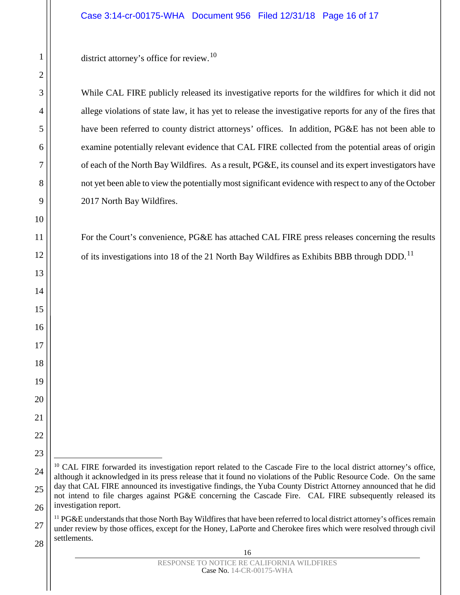While CAL FIRE publicly released its investigative reports for the wildfires for which it did not allege violations of state law, it has yet to release the investigative reports for any of the fires that have been referred to county district attorneys' offices. In addition, PG&E has not been able to examine potentially relevant evidence that CAL FIRE collected from the potential areas of origin of each of the North Bay Wildfires. As a result, PG&E, its counsel and its expert investigators have not yet been able to view the potentially most significant evidence with respect to any of the October 2017 North Bay Wildfires.

For the Court's convenience, PG&E has attached CAL FIRE press releases concerning the results of its investigations into 18 of the 21 North Bay Wildfires as Exhibits BBB through DDD.<sup>[11](#page-15-1)</sup>

<span id="page-15-0"></span><sup>&</sup>lt;sup>10</sup> CAL FIRE forwarded its investigation report related to the Cascade Fire to the local district attorney's office, although it acknowledged in its press release that it found no violations of the Public Resource Code. On the same day that CAL FIRE announced its investigative findings, the Yuba County District Attorney announced that he did not intend to file charges against PG&E concerning the Cascade Fire. CAL FIRE subsequently released its investigation report.

<span id="page-15-1"></span><sup>&</sup>lt;sup>11</sup> PG&E understands that those North Bay Wildfires that have been referred to local district attorney's offices remain under review by those offices, except for the Honey, LaPorte and Cherokee fires which were resolved through civil settlements.